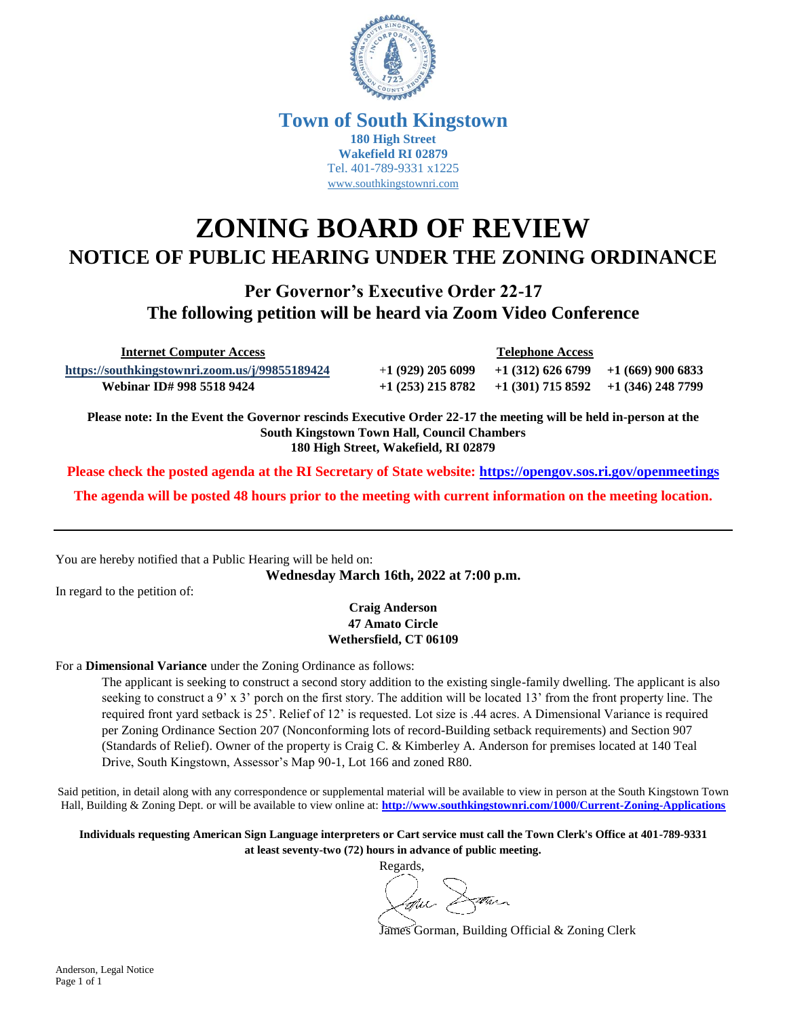

### **Town of South Kingstown 180 High Street Wakefield RI 02879** Tel. 401-789-9331 x1225 [www.southkingstownri.com](http://www.southkingstownri.com/)

# **ZONING BOARD OF REVIEW NOTICE OF PUBLIC HEARING UNDER THE ZONING ORDINANCE**

**Per Governor's Executive Order 22-17 The following petition will be heard via Zoom Video Conference**

 **Internet Computer Access Telephone Access**

**<https://southkingstownri.zoom.us/j/99855189424>** +**1 (929) 205 6099 +1 (312) 626 6799 +1 (669) 900 6833 Webinar ID# 998 5518 9424 +1 (253) 215 8782 +1 (301) 715 8592 +1 (346) 248 7799** 

**Please note: In the Event the Governor rescinds Executive Order 22-17 the meeting will be held in-person at the South Kingstown Town Hall, Council Chambers 180 High Street, Wakefield, RI 02879**

**Please check the posted agenda at the RI Secretary of State website:<https://opengov.sos.ri.gov/openmeetings>**

**The agenda will be posted 48 hours prior to the meeting with current information on the meeting location.**

You are hereby notified that a Public Hearing will be held on:

**Wednesday March 16th, 2022 at 7:00 p.m.**

In regard to the petition of:

#### **Craig Anderson 47 Amato Circle Wethersfield, CT 06109**

#### For a **Dimensional Variance** under the Zoning Ordinance as follows:

The applicant is seeking to construct a second story addition to the existing single-family dwelling. The applicant is also seeking to construct a 9' x 3' porch on the first story. The addition will be located 13' from the front property line. The required front yard setback is 25'. Relief of 12' is requested. Lot size is .44 acres. A Dimensional Variance is required per Zoning Ordinance Section 207 (Nonconforming lots of record-Building setback requirements) and Section 907 (Standards of Relief). Owner of the property is Craig C. & Kimberley A. Anderson for premises located at 140 Teal Drive, South Kingstown, Assessor's Map 90-1, Lot 166 and zoned R80.

Said petition, in detail along with any correspondence or supplemental material will be available to view in person at the South Kingstown Town Hall, Building & Zoning Dept. or will be available to view online at: **<http://www.southkingstownri.com/1000/Current-Zoning-Applications>**

**Individuals requesting American Sign Language interpreters or Cart service must call the Town Clerk's Office at 401-789-9331 at least seventy-two (72) hours in advance of public meeting.**

Regards,

James Gorman, Building Official & Zoning Clerk